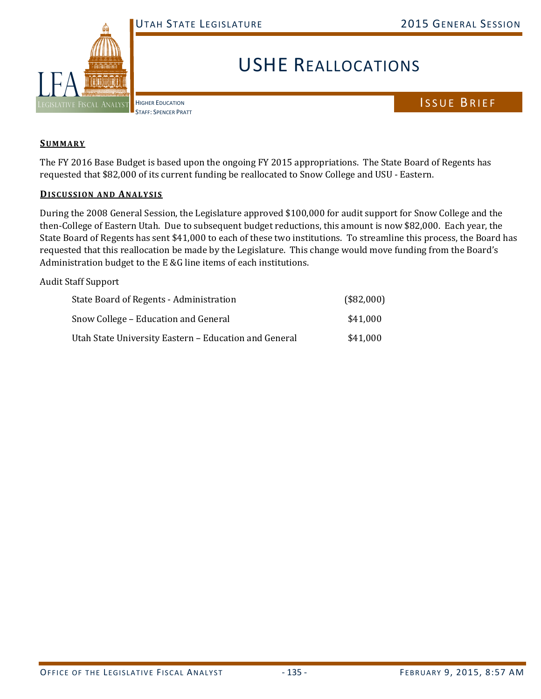

## USHE REALLOCATIONS

HIGHER EDUCATION STAFF: SPENCER PRATT

## ISSUE BRIEF

## **SUMMARY**

The FY 2016 Base Budget is based upon the ongoing FY 2015 appropriations. The State Board of Regents has requested that \$82,000 of its current funding be reallocated to Snow College and USU - Eastern.

## **DISCUSSION AND ANALYSIS**

During the 2008 General Session, the Legislature approved \$100,000 for audit support for Snow College and the then-College of Eastern Utah. Due to subsequent budget reductions, this amount is now \$82,000. Each year, the State Board of Regents has sent \$41,000 to each of these two institutions. To streamline this process, the Board has requested that this reallocation be made by the Legislature. This change would move funding from the Board's Administration budget to the E &G line items of each institutions.

Audit Staff Support

| State Board of Regents - Administration               | (\$82,000) |
|-------------------------------------------------------|------------|
| Snow College – Education and General                  | \$41,000   |
| Utah State University Eastern – Education and General | \$41,000   |